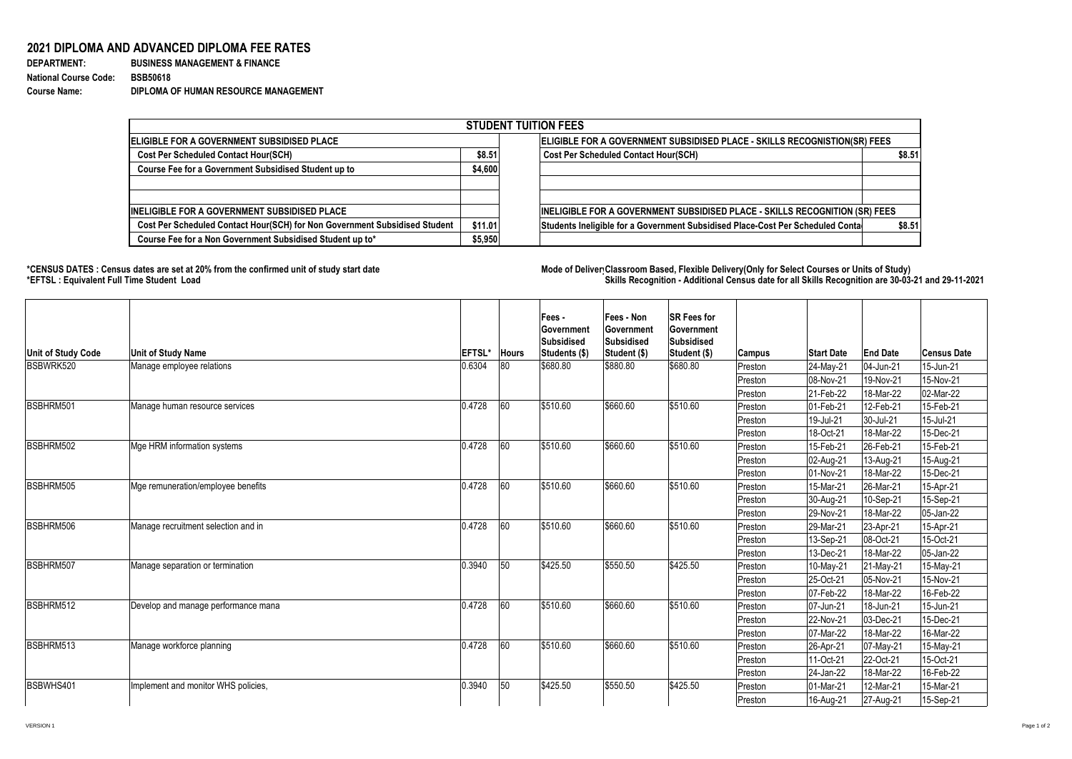## **2021 DIPLOMA AND ADVANCED DIPLOMA FEE RATES**

| <b>DEPARTMENT:</b>           |  |
|------------------------------|--|
| <b>National Course Code:</b> |  |
| <b>Course Name:</b>          |  |

**BUSINESS MANAGEMENT & FINANCE National Course Code: BSB50618 Course Name: DIPLOMA OF HUMAN RESOURCE MANAGEMENT**

## **\*CENSUS DATES : Census dates are set at 20% from the confirmed unit of study start date Mode of Delivery:Classroom Based, Flexible Delivery(Only for Select Courses or Units of Study) \*EFTSL : Equivalent Full Time Student Load Skills Recognition - Additional Census date for all Skills Recognition are 30-03-21 and 29-11-2021**



| <b>STUDENT TUITION FEES</b>                                                |         |                                                                                |        |  |  |  |  |  |
|----------------------------------------------------------------------------|---------|--------------------------------------------------------------------------------|--------|--|--|--|--|--|
| <b>ELIGIBLE FOR A GOVERNMENT SUBSIDISED PLACE</b>                          |         | ELIGIBLE FOR A GOVERNMENT SUBSIDISED PLACE - SKILLS RECOGNISTION(SR) FEES      |        |  |  |  |  |  |
| <b>Cost Per Scheduled Contact Hour(SCH)</b>                                | \$8.51  | <b>Cost Per Scheduled Contact Hour(SCH)</b>                                    | \$8.51 |  |  |  |  |  |
| <b>Course Fee for a Government Subsidised Student up to</b>                | \$4,600 |                                                                                |        |  |  |  |  |  |
| <b>INELIGIBLE FOR A GOVERNMENT SUBSIDISED PLACE</b>                        |         | INELIGIBLE FOR A GOVERNMENT SUBSIDISED PLACE - SKILLS RECOGNITION (SR) FEES    |        |  |  |  |  |  |
| Cost Per Scheduled Contact Hour(SCH) for Non Government Subsidised Student | \$11.01 | Students Ineligible for a Government Subsidised Place-Cost Per Scheduled Conta | \$8.51 |  |  |  |  |  |
| Course Fee for a Non Government Subsidised Student up to*                  | \$5,950 |                                                                                |        |  |  |  |  |  |

| Unit of Study Code | <b>Unit of Study Name</b>           | <b>EFTSL*</b> | <b>Hours</b> | Fees -<br><b>Government</b><br><b>Subsidised</b><br>Students (\$) | <b>Fees - Non</b><br><b>Government</b><br>Subsidised<br>Student (\$) | <b>SR Fees for</b><br><b>Government</b><br><b>Subsidised</b><br>Student (\$) | Campus   | <b>Start Date</b>       | <b>End Date</b> | <b>Census Date</b> |
|--------------------|-------------------------------------|---------------|--------------|-------------------------------------------------------------------|----------------------------------------------------------------------|------------------------------------------------------------------------------|----------|-------------------------|-----------------|--------------------|
| BSBWRK520          | Manage employee relations           | 0.6304        | 80           | \$680.80                                                          | \$880.80                                                             | \$680.80                                                                     | Preston  | 24-May-21               | 04-Jun-21       | 15-Jun-21          |
|                    |                                     |               |              |                                                                   |                                                                      |                                                                              | Preston  | 08-Nov-21               | 19-Nov-21       | 15-Nov-21          |
|                    |                                     |               |              |                                                                   |                                                                      |                                                                              | Preston  | $ 21-Feb-22 $           | 18-Mar-22       | 02-Mar-22          |
| BSBHRM501          | Manage human resource services      | 0.4728        | 60           | \$510.60                                                          | \$660.60                                                             | \$510.60                                                                     | Preston  | $ 01 - Feb - 21$        | 12-Feb-21       | 15-Feb-21          |
|                    |                                     |               |              |                                                                   |                                                                      |                                                                              | Preston  | $ 19 -$ Jul-21          | 30-Jul-21       | 15-Jul-21          |
|                    |                                     |               |              |                                                                   |                                                                      |                                                                              | Preston_ | 18-Oct-21               | 18-Mar-22       | 15-Dec-21          |
| BSBHRM502          | Mge HRM information systems         | 0.4728        | 60           | \$510.60                                                          | \$660.60                                                             | \$510.60                                                                     | Preston  | $ 15 - \text{Feb} - 21$ | 26-Feb-21       | 15-Feb-21          |
|                    |                                     |               |              |                                                                   |                                                                      |                                                                              | Preston  | 02-Aug-21               | 13-Aug-21       | 15-Aug-21          |
|                    |                                     |               |              |                                                                   |                                                                      |                                                                              | Preston  | $ 01-Nov-21$            | 18-Mar-22       | 15-Dec-21          |
| BSBHRM505          | Mge remuneration/employee benefits  | 0.4728        | 60           | \$510.60                                                          | \$660.60                                                             | \$510.60                                                                     | Preston  | $ 15$ -Mar-21           | 26-Mar-21       | 15-Apr-21          |
|                    |                                     |               |              |                                                                   |                                                                      |                                                                              | Preston  | 30-Aug-21               | 10-Sep-21       | 15-Sep-21          |
|                    |                                     |               |              |                                                                   |                                                                      |                                                                              | Preston  | $ 29-Nov-21 $           | 18-Mar-22       | $ 05$ -Jan-22      |
| BSBHRM506          | Manage recruitment selection and in | 0.4728        | 60           | \$510.60                                                          | \$660.60                                                             | \$510.60                                                                     | Preston  | $ 29$ -Mar-21           | 23-Apr-21       | 15-Apr-21          |
|                    |                                     |               |              |                                                                   |                                                                      |                                                                              | Preston  | $ 13 - \text{Sep-}21 $  | 08-Oct-21       | 15-Oct-21          |
|                    |                                     |               |              |                                                                   |                                                                      |                                                                              | Preston  | 13-Dec-21               | 18-Mar-22       | 05-Jan-22          |
| BSBHRM507          | Manage separation or termination    | 0.3940        | $\vert$ 50   | \$425.50                                                          | \$550.50                                                             | \$425.50                                                                     | Preston  | $ 10-May-21 $           | 21-May-21       | 15-May-21          |
|                    |                                     |               |              |                                                                   |                                                                      |                                                                              | Preston  | $ 25 - Oct-21 $         | 05-Nov-21       | 15-Nov-21          |
|                    |                                     |               |              |                                                                   |                                                                      |                                                                              | Preston  | $ 07 - Feb - 22 $       | 18-Mar-22       | 16-Feb-22          |
| BSBHRM512          | Develop and manage performance mana | 0.4728        | 60           | \$510.60                                                          | \$660.60                                                             | \$510.60                                                                     | Preston  | 07-Jun-21               | 18-Jun-21       | 15-Jun-21          |
|                    |                                     |               |              |                                                                   |                                                                      |                                                                              | Preston  | $ 22-Nov-21$            | 03-Dec-21       | 15-Dec-21          |
|                    |                                     |               |              |                                                                   |                                                                      |                                                                              | Preston  | $ 07$ -Mar-22           | 18-Mar-22       | 16-Mar-22          |
| BSBHRM513          | Manage workforce planning           | 0.4728        | 60           | \$510.60                                                          | \$660.60                                                             | \$510.60                                                                     | Preston  | $ 26 - Apr - 21 $       | 07-May-21       | 15-May-21          |
|                    |                                     |               |              |                                                                   |                                                                      |                                                                              | Preston  | $11 - Oct-21$           | 22-Oct-21       | 15-Oct-21          |
|                    |                                     |               |              |                                                                   |                                                                      |                                                                              | Preston  | $ 24$ -Jan-22           | 18-Mar-22       | 16-Feb-22          |
| BSBWHS401          | Implement and monitor WHS policies, | 0.3940        | $\vert$ 50   | \$425.50                                                          | \$550.50                                                             | \$425.50                                                                     | Preston  | $ 01 - $ Mar-21         | 12-Mar-21       | 15-Mar-21          |
|                    |                                     |               |              |                                                                   |                                                                      |                                                                              | Preston  | 16-Aug-21               | 27-Aug-21       | 15-Sep-21          |